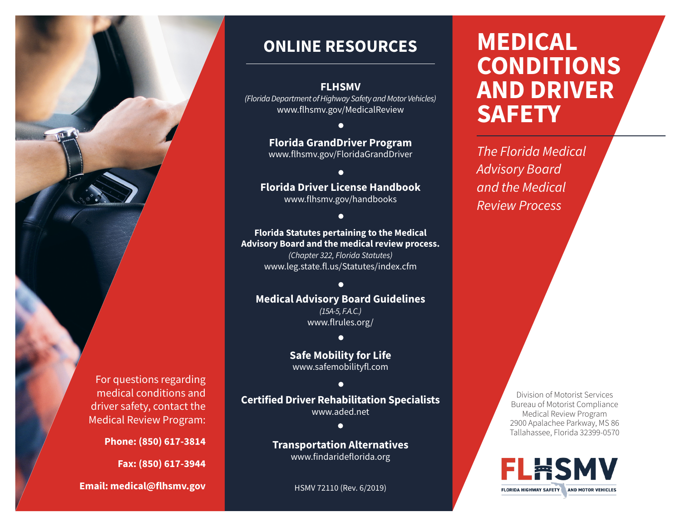

# **ONLINE RESOURCES**

#### **FLHSMV**

*(Florida Department of Highway Safety and Motor Vehicles)* www.flhsmv.gov/MedicalReview

# **Florida GrandDriver Program**

www.flhsmv.gov/FloridaGrandDriver

# **Florida Driver License Handbook**

www.flhsmv.gov/handbooks

#### **Florida Statutes pertaining to the Medical Advisory Board and the medical review process.**

*(Chapter 322, Florida Statutes)* www.leg.state.fl.us/Statutes/index.cfm

#### $\bullet$

## **Medical Advisory Board Guidelines**

*(15A-5, F.A.C.)* www.flrules.org/

#### $\bullet$

**Safe Mobility for Life** www.safemobilityfl.com

#### $\bullet$

#### **Certified Driver Rehabilitation Specialists** www.aded.net

 $\bullet$ 

#### **Transportation Alternatives** www.findarideflorida.org

HSMV 72110 (Rev. 6/2019)

# **MEDICAL CONDITIONS AND DRIVER SAFETY**

*The Florida Medical Advisory Board and the Medical Review Process*

> Division of Motorist Services Bureau of Motorist Compliance Medical Review Program 2900 Apalachee Parkway, MS 86 Tallahassee, Florida 32399-0570